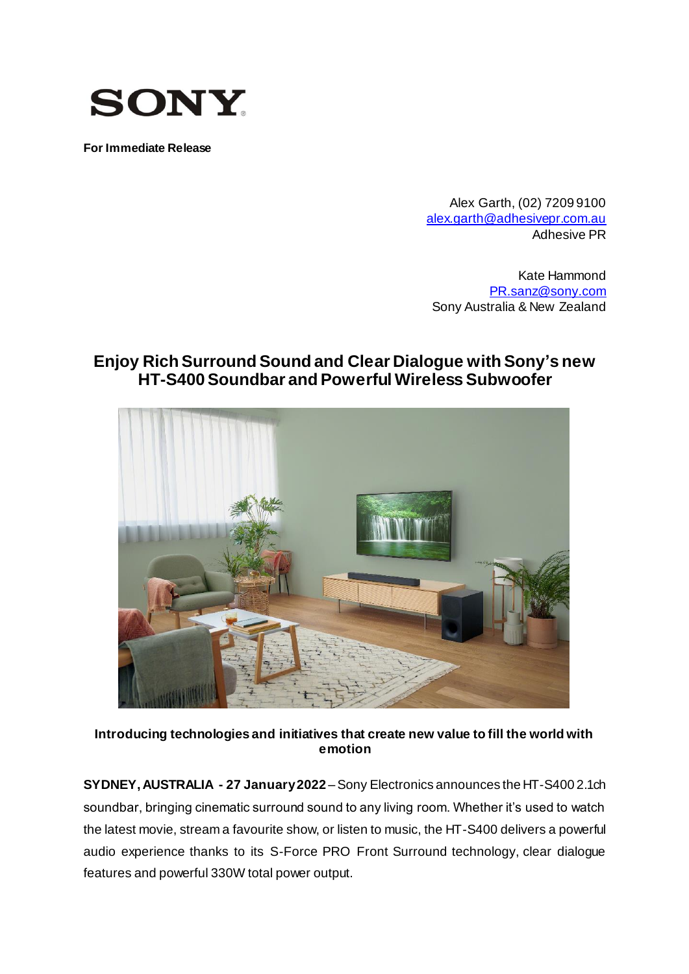

**For Immediate Release**

Alex Garth, (02) 7209 9100 [alex.garth@adhesivepr.com.au](mailto:alex.garth@adhesivepr.com.au) Adhesive PR

Kate Hammond [PR.sanz@sony.com](mailto:PR.sanz@sony.com) Sony Australia & New Zealand

# **Enjoy Rich Surround Sound and Clear Dialogue with Sony's new HT-S400 Soundbar and Powerful Wireless Subwoofer**



**Introducing technologies and initiatives that create new value to fill the world with emotion**

**SYDNEY, AUSTRALIA - 27 January2022** –Sony Electronics announces the HT-S400 2.1ch soundbar, bringing cinematic surround sound to any living room. Whether it's used to watch the latest movie, stream a favourite show, or listen to music, the HT-S400 delivers a powerful audio experience thanks to its S-Force PRO Front Surround technology, clear dialogue features and powerful 330W total power output.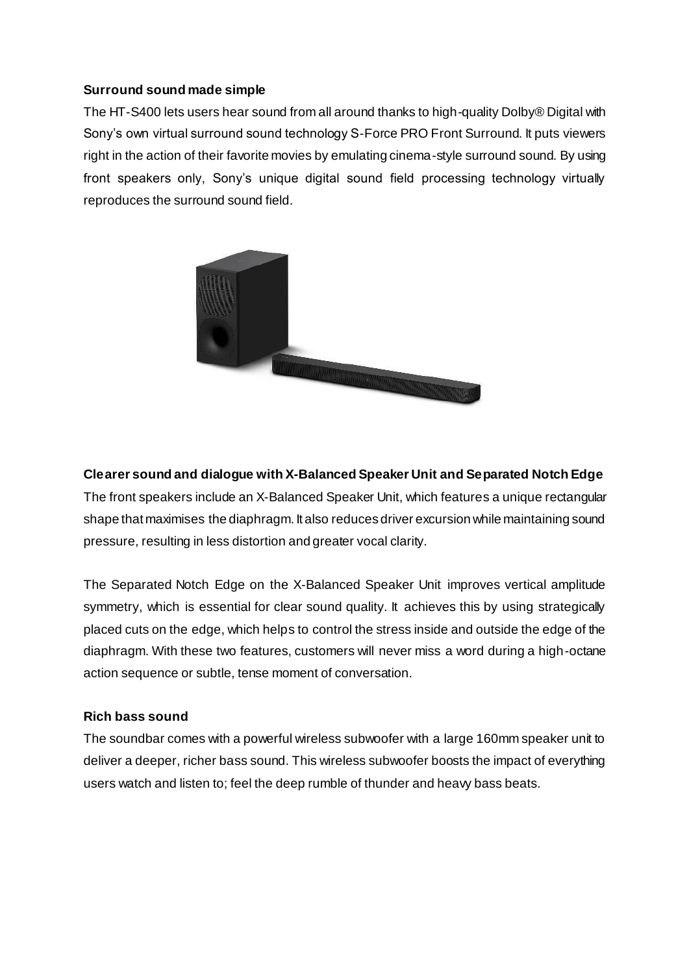### **Surround sound made simple**

The HT-S400 lets users hear sound from all around thanks to high-quality Dolby® Digital with Sony's own virtual surround sound technology S-Force PRO Front Surround. It puts viewers right in the action of their favorite movies by emulating cinema-style surround sound. By using front speakers only, Sony's unique digital sound field processing technology virtually reproduces the surround sound field.



**Clearer sound and dialogue with X-Balanced Speaker Unit and Separated Notch Edge** The front speakers include an X-Balanced Speaker Unit, which features a unique rectangular shape that maximises the diaphragm. It also reduces driver excursion while maintaining sound pressure, resulting in less distortion and greater vocal clarity.

The Separated Notch Edge on the X-Balanced Speaker Unit improves vertical amplitude symmetry, which is essential for clear sound quality. It achieves this by using strategically placed cuts on the edge, which helps to control the stress inside and outside the edge of the diaphragm. With these two features, customers will never miss a word during a high-octane action sequence or subtle, tense moment of conversation.

#### **Rich bass sound**

The soundbar comes with a powerful wireless subwoofer with a large 160mm speaker unit to deliver a deeper, richer bass sound. This wireless subwoofer boosts the impact of everything users watch and listen to; feel the deep rumble of thunder and heavy bass beats.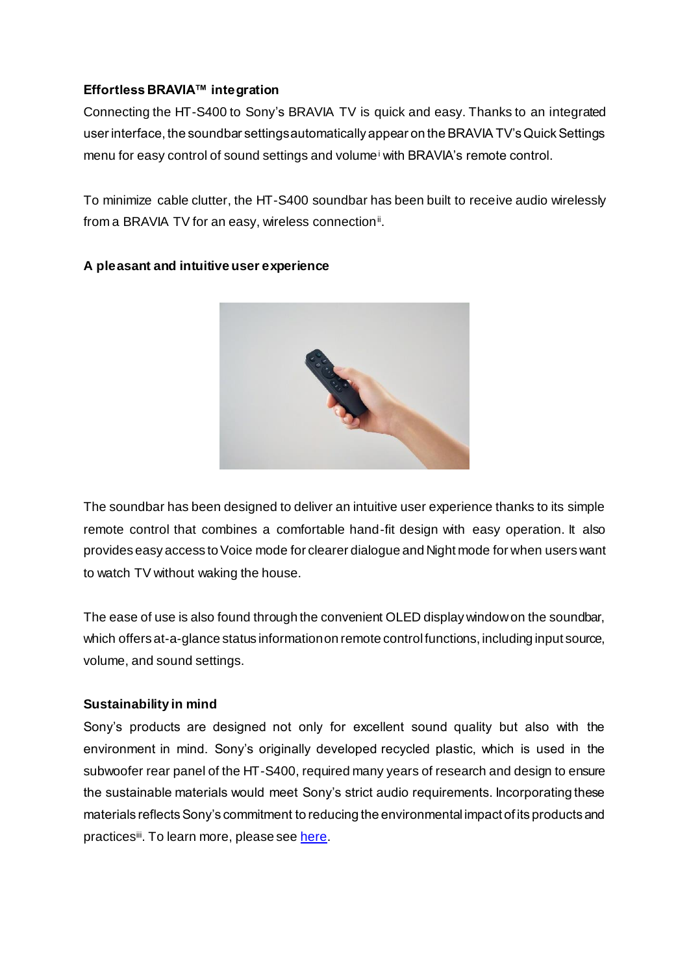## **Effortless BRAVIA™ integration**

Connecting the HT-S400 to Sony's BRAVIA TV is quick and easy. Thanks to an integrated user interface, the soundbar settings automatically appear on the BRAVIA TV's Quick Settings menu for easy control of sound settings and volume<sup>i</sup> with BRAVIA's remote control.

To minimize cable clutter, the HT-S400 soundbar has been built to receive audio wirelessly from a BRAVIA TV for an easy, wireless connection<sup>ii</sup>.



### **A pleasant and intuitive user experience**

The soundbar has been designed to deliver an intuitive user experience thanks to its simple remote control that combines a comfortable hand-fit design with easy operation. It also provides easy access to Voice mode for clearer dialogue and Night mode for when users want to watch TV without waking the house.

The ease of use is also found through the convenient OLED display window on the soundbar, which offers at-a-glance status information on remote control functions, including input source, volume, and sound settings.

### **Sustainability in mind**

Sony's products are designed not only for excellent sound quality but also with the environment in mind. Sony's originally developed recycled plastic, which is used in the subwoofer rear panel of the HT-S400, required many years of research and design to ensure the sustainable materials would meet Sony's strict audio requirements. Incorporating these materials reflects Sony's commitment to reducing the environmental impact of its products and practices<sup>iii</sup>. To learn more, please se[e here](https://www.sony-asia.com/electronics/sustainable-audio).